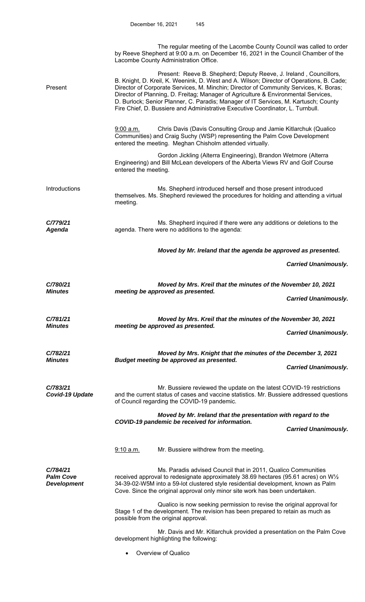|                                                    | The regular meeting of the Lacombe County Council was called to order<br>by Reeve Shepherd at 9:00 a.m. on December 16, 2021 in the Council Chamber of the<br>Lacombe County Administration Office.                                                                                                                                                                                                                                                                                                                    |
|----------------------------------------------------|------------------------------------------------------------------------------------------------------------------------------------------------------------------------------------------------------------------------------------------------------------------------------------------------------------------------------------------------------------------------------------------------------------------------------------------------------------------------------------------------------------------------|
| Present                                            | Present: Reeve B. Shepherd; Deputy Reeve, J. Ireland, Councillors,<br>B. Knight, D. Kreil, K. Weenink, D. West and A. Wilson; Director of Operations, B. Cade;<br>Director of Corporate Services, M. Minchin; Director of Community Services, K. Boras;<br>Director of Planning, D. Freitag; Manager of Agriculture & Environmental Services,<br>D. Burlock; Senior Planner, C. Paradis; Manager of IT Services, M. Kartusch; County<br>Fire Chief, D. Bussiere and Administrative Executive Coordinator, L. Turnbull. |
|                                                    | Chris Davis (Davis Consulting Group and Jamie Kitlarchuk (Qualico<br>9:00 a.m.<br>Communities) and Craig Suchy (WSP) representing the Palm Cove Development<br>entered the meeting. Meghan Chisholm attended virtually.                                                                                                                                                                                                                                                                                                |
|                                                    | Gordon Jickling (Alterra Engineering), Brandon Wetmore (Alterra<br>Engineering) and Bill McLean developers of the Alberta Views RV and Golf Course<br>entered the meeting.                                                                                                                                                                                                                                                                                                                                             |
| Introductions                                      | Ms. Shepherd introduced herself and those present introduced<br>themselves. Ms. Shepherd reviewed the procedures for holding and attending a virtual<br>meeting.                                                                                                                                                                                                                                                                                                                                                       |
| C/779/21<br>Agenda                                 | Ms. Shepherd inquired if there were any additions or deletions to the<br>agenda. There were no additions to the agenda:                                                                                                                                                                                                                                                                                                                                                                                                |
|                                                    | Moved by Mr. Ireland that the agenda be approved as presented.                                                                                                                                                                                                                                                                                                                                                                                                                                                         |
|                                                    | <b>Carried Unanimously.</b>                                                                                                                                                                                                                                                                                                                                                                                                                                                                                            |
| C/780/21                                           | Moved by Mrs. Kreil that the minutes of the November 10, 2021                                                                                                                                                                                                                                                                                                                                                                                                                                                          |
| <b>Minutes</b>                                     | meeting be approved as presented.<br><b>Carried Unanimously.</b>                                                                                                                                                                                                                                                                                                                                                                                                                                                       |
| C/781/21                                           | Moved by Mrs. Kreil that the minutes of the November 30, 2021                                                                                                                                                                                                                                                                                                                                                                                                                                                          |
| <b>Minutes</b>                                     | meeting be approved as presented.<br><b>Carried Unanimously.</b>                                                                                                                                                                                                                                                                                                                                                                                                                                                       |
| C/782/21<br><b>Minutes</b>                         | Moved by Mrs. Knight that the minutes of the December 3, 2021<br>Budget meeting be approved as presented.<br><b>Carried Unanimously.</b>                                                                                                                                                                                                                                                                                                                                                                               |
|                                                    |                                                                                                                                                                                                                                                                                                                                                                                                                                                                                                                        |
| C/783/21<br>Covid-19 Update                        | Mr. Bussiere reviewed the update on the latest COVID-19 restrictions<br>and the current status of cases and vaccine statistics. Mr. Bussiere addressed questions<br>of Council regarding the COVID-19 pandemic.                                                                                                                                                                                                                                                                                                        |
|                                                    | Moved by Mr. Ireland that the presentation with regard to the<br>COVID-19 pandemic be received for information.                                                                                                                                                                                                                                                                                                                                                                                                        |
|                                                    | <b>Carried Unanimously.</b>                                                                                                                                                                                                                                                                                                                                                                                                                                                                                            |
|                                                    | Mr. Bussiere withdrew from the meeting.<br>9:10 a.m.                                                                                                                                                                                                                                                                                                                                                                                                                                                                   |
| C/784/21<br><b>Palm Cove</b><br><b>Development</b> | Ms. Paradis advised Council that in 2011, Qualico Communities<br>received approval to redesignate approximately 38.69 hectares (95.61 acres) on W1/2<br>34-39-02-W5M into a 59-lot clustered style residential development, known as Palm<br>Cove. Since the original approval only minor site work has been undertaken.                                                                                                                                                                                               |
|                                                    | Qualico is now seeking permission to revise the original approval for<br>Stage 1 of the development. The revision has been prepared to retain as much as<br>possible from the original approval.                                                                                                                                                                                                                                                                                                                       |
|                                                    | Mr. Davis and Mr. Kitlarchuk provided a presentation on the Palm Cove<br>development highlighting the following:                                                                                                                                                                                                                                                                                                                                                                                                       |
|                                                    | Overview of Qualico                                                                                                                                                                                                                                                                                                                                                                                                                                                                                                    |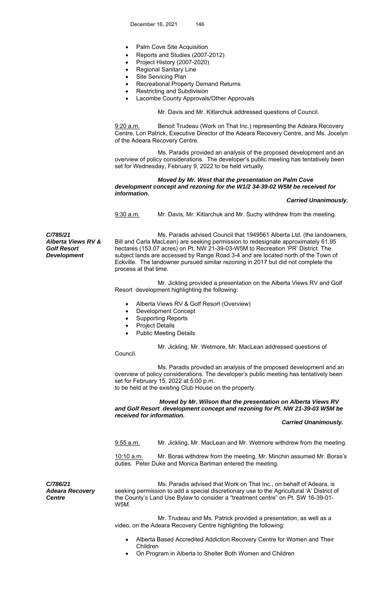- Palm Cove Site Acquisition
- Reports and Studies (2007-2012)
- Project History (2007-2020)
- Regional Sanitary Line
- Site Servicing Plan
- Recreational Property Demand Returns
- Restricting and Subdivision
- Lacombe County Approvals/Other Approvals

Mr. Davis and Mr. Kitlarchuk addressed questions of Council.

9:20 a.m. Benoit Trudeau (Work on That Inc.) representing the Adeara Recovery Centre, Lori Patrick, Executive Director of the Adeara Recovery Centre, and Ms. Jocelyn of the Adeara Recovery Centre.

 Ms. Paradis provided an analysis of the proposed development and an overview of policy considerations. The developer's public meeting has tentatively been set for Wednesday, February 9, 2022 to be held virtually.

 *Moved by Mr. West that the presentation on Palm Cove development concept and rezoning for the W1/2 34-39-02 W5M be received for information.* 

 *Carried Unanimously.* 

9:30 a.m. Mr. Davis, Mr. Kitlarchuk and Mr. Suchy withdrew from the meeting.

*C/785/21 Alberta Views RV & Golf Resort Development* 

 Ms. Paradis advised Council that 1949561 Alberta Ltd. (the landowners, Bill and Carla MacLean) are seeking permission to redesignate approximately 61.95 hectares (153.07 acres) on Pt. NW 21-39-03-W5M to Recreation 'PR' District. The subject lands are accessed by Range Road 3-4 and are located north of the Town of Eckville. The landowner pursued similar rezoning in 2017 but did not complete the process at that time.

 Mr. Jickling provided a presentation on the Alberta Views RV and Golf Resort development highlighting the following:

- Alberta Views RV & Golf Resort (Overview)
- Development Concept
- Supporting Reports
- Project Details

Council.

Public Meeting Details

Mr. Jickling, Mr. Wetmore, Mr. MacLean addressed questions of

 Ms. Paradis provided an analysis of the proposed development and an overview of policy considerations. The developer's public meeting has tentatively been set for February 15, 2022 at 5:00 p.m. to be held at the existing Club House on the property.

 *Moved by Mr. Wilson that the presentation on Alberta Views RV and Golf Resort development concept and rezoning for Pt. NW 21-39-03 W5M be received for information.* 

## *Carried Unanimously.*

9:55 a.m. Mr. Jickling, Mr. MacLean and Mr. Wetmore withdrew from the meeting.

10:10 a.m. Mr. Boras withdrew from the meeting, Mr. Minchin assumed Mr. Boras's duties. Peter Duke and Monica Bartman entered the meeting.

*C/786/21 Adeara Recovery Centre* 

Ms. Paradis advised that Work on That Inc., on behalf of Adeara, is seeking permission to add a special discretionary use to the Agricultural 'A' District of the County's Land Use Bylaw to consider a "treatment centre" on Pt. SW 16-39-01- W5M.

 Mr. Trudeau and Ms. Patrick provided a presentation, as well as a video, on the Adeara Recovery Centre highlighting the following:

- Alberta Based Accredited Addiction Recovery Centre for Women and Their Children
- On Program in Alberta to Shelter Both Women and Children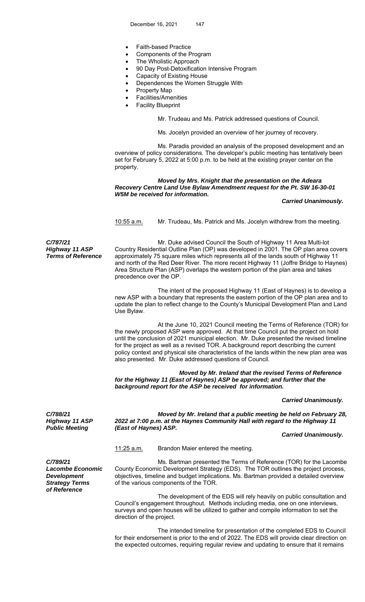- Faith-based Practice
- Components of the Program
- The Wholistic Approach
- 90 Day Post-Detoxification Intensive Program
- Capacity of Existing House
- Dependences the Women Struggle With
- Property Map
- Facilities/Amenities
- Facility Blueprint

Mr. Trudeau and Ms. Patrick addressed questions of Council.

Ms. Jocelyn provided an overview of her journey of recovery.

 Ms. Paradis provided an analysis of the proposed development and an overview of policy considerations. The developer's public meeting has tentatively been set for February 5, 2022 at 5:00 p.m. to be held at the existing prayer center on the property.

## *Moved by Mrs. Knight that the presentation on the Adeara Recovery Centre Land Use Bylaw Amendment request for the Pt. SW 16-30-01 W5M be received for information.*

#### *Carried Unanimously.*

10:55 a.m. Mr. Trudeau, Ms. Patrick and Ms. Jocelyn withdrew from the meeting.

*C/787/21 Highway 11 ASP Terms of Reference* 

 Mr. Duke advised Council the South of Highway 11 Area Multi-lot Country Residential Outline Plan (OP) was developed in 2001. The OP plan area covers approximately 75 square miles which represents all of the lands south of Highway 11 and north of the Red Deer River. The more recent Highway 11 (Joffre Bridge to Haynes) Area Structure Plan (ASP) overlaps the western portion of the plan area and takes precedence over the OP.

 The intent of the proposed Highway 11 (East of Haynes) is to develop a new ASP with a boundary that represents the eastern portion of the OP plan area and to update the plan to reflect change to the County's Municipal Development Plan and Land Use Bylaw.

 At the June 10, 2021 Council meeting the Terms of Reference (TOR) for the newly proposed ASP were approved. At that time Council put the project on hold until the conclusion of 2021 municipal election. Mr. Duke presented the revised timeline for the project as well as a revised TOR. A background report describing the current policy context and physical site characteristics of the lands within the new plan area was also presented. Mr. Duke addressed questions of Council.

 *Moved by Mr. Ireland that the revised Terms of Reference for the Highway 11 (East of Haynes) ASP be approved; and further that the background report for the ASP be received for information.* 

#### *Carried Unanimously.*

*C/788/21 Highway 11 ASP Public Meeting* 

 *Moved by Mr. Ireland that a public meeting be held on February 28, 2022 at 7:00 p.m. at the Haynes Community Hall with regard to the Highway 11 (East of Haynes) ASP.* 

#### *Carried Unanimously.*

11:25 a.m. Brandon Maier entered the meeting.

*C/789/21 Lacombe Economic Development Strategy Terms of Reference* 

 Ms. Bartman presented the Terms of Reference (TOR) for the Lacombe County Economic Development Strategy (EDS). The TOR outlines the project process, objectives, timeline and budget implications. Ms. Bartman provided a detailed overview of the various components of the TOR.

 The development of the EDS will rely heavily on public consultation and Council's engagement throughout. Methods including media, one on one interviews, surveys and open houses will be utilized to gather and compile information to set the direction of the project.

The intended timeline for presentation of the completed EDS to Council for their endorsement is prior to the end of 2022. The EDS will provide clear direction on the expected outcomes, requiring regular review and updating to ensure that it remains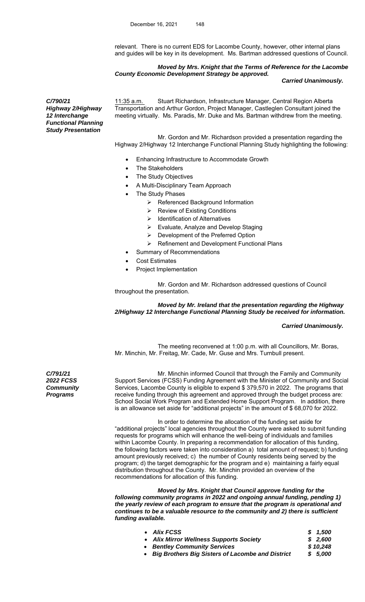relevant. There is no current EDS for Lacombe County, however, other internal plans and guides will be key in its development. Ms. Bartman addressed questions of Council.

*Moved by Mrs. Knight that the Terms of Reference for the Lacombe County Economic Development Strategy be approved.* 

 *Carried Unanimously.* 

*C/790/21 Highway 2/Highway 12 Interchange Functional Planning Study Presentation* 

11:35 a.m. Stuart Richardson, Infrastructure Manager, Central Region Alberta Transportation and Arthur Gordon, Project Manager, Castleglen Consultant joined the meeting virtually. Ms. Paradis, Mr. Duke and Ms. Bartman withdrew from the meeting.

 Mr. Gordon and Mr. Richardson provided a presentation regarding the Highway 2/Highway 12 Interchange Functional Planning Study highlighting the following:

- Enhancing Infrastructure to Accommodate Growth
- The Stakeholders
- The Study Objectives
- A Multi-Disciplinary Team Approach
- The Study Phases
	- $\triangleright$  Referenced Background Information
	- $\triangleright$  Review of Existing Conditions
	- $\triangleright$  Identification of Alternatives
	- Evaluate, Analyze and Develop Staging
	- ▶ Development of the Preferred Option
	- $\triangleright$  Refinement and Development Functional Plans
	- Summary of Recommendations
- Cost Estimates
- Project Implementation

 Mr. Gordon and Mr. Richardson addressed questions of Council throughout the presentation.

# *Moved by Mr. Ireland that the presentation regarding the Highway 2/Highway 12 Interchange Functional Planning Study be received for information.*

## *Carried Unanimously.*

The meeting reconvened at 1:00 p.m. with all Councillors, Mr. Boras, Mr. Minchin, Mr. Freitag, Mr. Cade, Mr. Guse and Mrs. Turnbull present.

 Mr. Minchin informed Council that through the Family and Community Support Services (FCSS) Funding Agreement with the Minister of Community and Social Services, Lacombe County is eligible to expend \$ 379,570 in 2022. The programs that receive funding through this agreement and approved through the budget process are: School Social Work Program and Extended Home Support Program. In addition, there is an allowance set aside for "additional projects" in the amount of \$ 68,070 for 2022.

 In order to determine the allocation of the funding set aside for "additional projects" local agencies throughout the County were asked to submit funding requests for programs which will enhance the well-being of individuals and families within Lacombe County. In preparing a recommendation for allocation of this funding, the following factors were taken into consideration a) total amount of request; b) funding amount previously received; c) the number of County residents being served by the program; d) the target demographic for the program and e) maintaining a fairly equal distribution throughout the County. Mr. Minchin provided an overview of the recommendations for allocation of this funding.

 *Moved by Mrs. Knight that Council approve funding for the following community programs in 2022 and ongoing annual funding, pending 1) the yearly review of each program to ensure that the program is operational and continues to be a valuable resource to the community and 2) there is sufficient funding available.* 

| • Alix FCSS                             | \$1.500  |
|-----------------------------------------|----------|
| • Alix Mirror Wellness Supports Society | \$2.600  |
| • Bentley Community Services            | \$10.248 |

*Big Brothers Big Sisters of Lacombe and District \$ 5,000* 

*C/791/21 2022 FCSS Community Programs*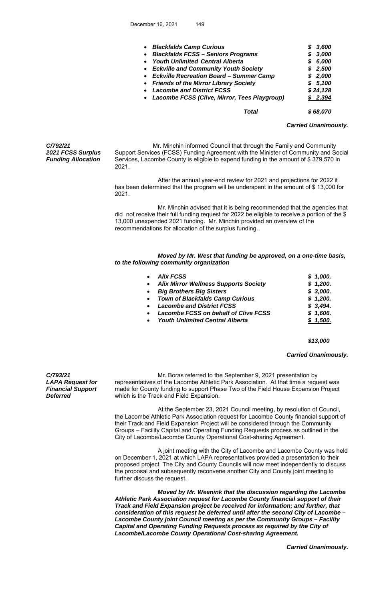| • Blackfalds Camp Curious<br>• Blackfalds FCSS - Seniors Programs<br><b>Youth Unlimited Central Alberta</b><br>$\bullet$<br>• Eckville and Community Youth Society<br>• Eckville Recreation Board - Summer Camp<br>• Friends of the Mirror Library Society | 3.600<br>S<br>3,000<br>\$<br>6,000<br>S<br>2,500<br>S.<br>\$2,000<br>\$5,100 |
|------------------------------------------------------------------------------------------------------------------------------------------------------------------------------------------------------------------------------------------------------------|------------------------------------------------------------------------------|
| <b>Lacombe and District FCSS</b><br>$\bullet$<br>• Lacombe FCSS (Clive, Mirror, Tees Playgroup)                                                                                                                                                            | \$24,128<br>\$2,394                                                          |
| Total                                                                                                                                                                                                                                                      | \$68,070                                                                     |

#### *Carried Unanimously.*

*C/792/21 2021 FCSS Surplus Funding Allocation* 

 Mr. Minchin informed Council that through the Family and Community Support Services (FCSS) Funding Agreement with the Minister of Community and Social Services, Lacombe County is eligible to expend funding in the amount of \$ 379,570 in 2021.

 After the annual year-end review for 2021 and projections for 2022 it has been determined that the program will be underspent in the amount of \$13,000 for 2021.

 Mr. Minchin advised that it is being recommended that the agencies that did not receive their full funding request for 2022 be eligible to receive a portion of the \$ 13,000 unexpended 2021 funding. Mr. Minchin provided an overview of the recommendations for allocation of the surplus funding.

 *Moved by Mr. West that funding be approved, on a one-time basis, to the following community organization* 

| • Alix FCSS                             | \$1,000. |
|-----------------------------------------|----------|
| • Alix Mirror Wellness Supports Society | \$1,200. |
| • Big Brothers Big Sisters              | \$3,000. |
| • Town of Blackfalds Camp Curious       | \$1,200. |
| • Lacombe and District FCSS             | \$3,494. |
| • Lacombe FCSS on behalf of Clive FCSS  | \$1,606. |
| • Youth Unlimited Central Alberta       | \$1,500. |
|                                         |          |

 *\$13,000* 

#### *Carried Unanimously.*

*C/793/21 LAPA Request for Financial Support Deferred* 

Mr. Boras referred to the September 9, 2021 presentation by representatives of the Lacombe Athletic Park Association. At that time a request was made for County funding to support Phase Two of the Field House Expansion Project which is the Track and Field Expansion.

 At the September 23, 2021 Council meeting, by resolution of Council, the Lacombe Athletic Park Association request for Lacombe County financial support of their Track and Field Expansion Project will be considered through the Community Groups – Facility Capital and Operating Funding Requests process as outlined in the City of Lacombe/Lacombe County Operational Cost-sharing Agreement.

 A joint meeting with the City of Lacombe and Lacombe County was held on December 1, 2021 at which LAPA representatives provided a presentation to their proposed project. The City and County Councils will now meet independently to discuss the proposal and subsequently reconvene another City and County joint meeting to further discuss the request.

 *Moved by Mr. Weenink that the discussion regarding the Lacombe Athletic Park Association request for Lacombe County financial support of their Track and Field Expansion project be received for information; and further, that consideration of this request be deferred until after the second City of Lacombe – Lacombe County joint Council meeting as per the Community Groups – Facility Capital and Operating Funding Requests process as required by the City of Lacombe/Lacombe County Operational Cost-sharing Agreement.* 

 *Carried Unanimously.*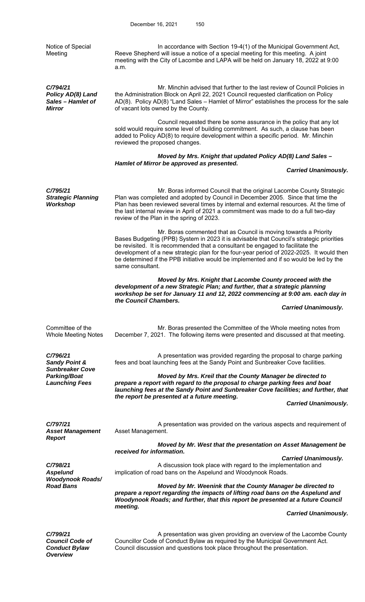Notice of Special Meeting In accordance with Section 19-4(1) of the Municipal Government Act, Reeve Shepherd will issue a notice of a special meeting for this meeting. A joint meeting with the City of Lacombe and LAPA will be held on January 18, 2022 at 9:00 a.m. *C/794/21 Policy AD(8) Land Sales – Hamlet of Mirror*  Mr. Minchin advised that further to the last review of Council Policies in the Administration Block on April 22, 2021 Council requested clarification on Policy AD(8). Policy AD(8) "Land Sales – Hamlet of Mirror" establishes the process for the sale of vacant lots owned by the County. Council requested there be some assurance in the policy that any lot sold would require some level of building commitment. As such, a clause has been added to Policy AD(8) to require development within a specific period. Mr. Minchin reviewed the proposed changes. *Moved by Mrs. Knight that updated Policy AD(8) Land Sales – Hamlet of Mirror be approved as presented. Carried Unanimously. C/795/21 Strategic Planning Workshop*  Mr. Boras informed Council that the original Lacombe County Strategic Plan was completed and adopted by Council in December 2005. Since that time the Plan has been reviewed several times by internal and external resources. At the time of the last internal review in April of 2021 a commitment was made to do a full two-day review of the Plan in the spring of 2023. Mr. Boras commented that as Council is moving towards a Priority Bases Budgeting (PPB) System in 2023 it is advisable that Council's strategic priorities be revisited. It is recommended that a consultant be engaged to facilitate the development of a new strategic plan for the four-year period of 2022-2025. It would then be determined if the PPB initiative would be implemented and if so would be led by the same consultant.  *Moved by Mrs. Knight that Lacombe County proceed with the development of a new Strategic Plan; and further, that a strategic planning workshop be set for January 11 and 12, 2022 commencing at 9:00 am. each day in the Council Chambers. Carried Unanimously.*  Committee of the Whole Meeting Notes Mr. Boras presented the Committee of the Whole meeting notes from December 7, 2021. The following items were presented and discussed at that meeting. *C/796/21 Sandy Point &*  A presentation was provided regarding the proposal to charge parking fees and boat launching fees at the Sandy Point and Sunbreaker Cove facilities. *Sunbreaker Cove Parking/Boat Launching Fees Moved by Mrs. Kreil that the County Manager be directed to prepare a report with regard to the proposal to charge parking fees and boat launching fees at the Sandy Point and Sunbreaker Cove facilities; and further, that the report be presented at a future meeting. Carried Unanimously. C/797/21 Asset Management*  A presentation was provided on the various aspects and requirement of Asset Management. *Report Moved by Mr. West that the presentation on Asset Management be received for information. Carried Unanimously. C/798/21 Aspelund*  A discussion took place with regard to the implementation and implication of road bans on the Aspelund and Woodynook Roads. *Woodynook Roads/*  **Moved by Mr. Weenink that the County Manager be directed to** *prepare a report regarding the impacts of lifting road bans on the Aspelund and Woodynook Roads; and further, that this report be presented at a future Council meeting. Carried Unanimously. C/799/21 Council Code of*  A presentation was given providing an overview of the Lacombe County Councillor Code of Conduct Bylaw as required by the Municipal Government Act.

*Conduct Bylaw Overview* 

Council discussion and questions took place throughout the presentation.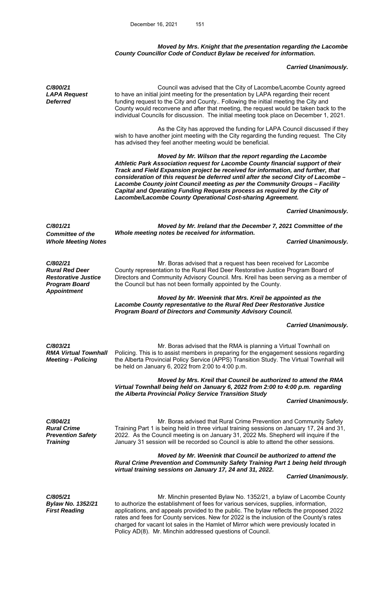### *Moved by Mrs. Knight that the presentation regarding the Lacombe County Councillor Code of Conduct Bylaw be received for information.*

# *Carried Unanimously.*

| C/800/21<br><b>LAPA Request</b><br><b>Deferred</b>                                      | Council was advised that the City of Lacombe/Lacombe County agreed<br>to have an initial joint meeting for the presentation by LAPA regarding their recent<br>funding request to the City and County Following the initial meeting the City and<br>County would reconvene and after that meeting, the request would be taken back to the<br>individual Councils for discussion. The initial meeting took place on December 1, 2021.                                                                                                              |                             |
|-----------------------------------------------------------------------------------------|--------------------------------------------------------------------------------------------------------------------------------------------------------------------------------------------------------------------------------------------------------------------------------------------------------------------------------------------------------------------------------------------------------------------------------------------------------------------------------------------------------------------------------------------------|-----------------------------|
|                                                                                         | As the City has approved the funding for LAPA Council discussed if they<br>wish to have another joint meeting with the City regarding the funding request. The City<br>has advised they feel another meeting would be beneficial.                                                                                                                                                                                                                                                                                                                |                             |
|                                                                                         | Moved by Mr. Wilson that the report regarding the Lacombe<br>Athletic Park Association request for Lacombe County financial support of their<br>Track and Field Expansion project be received for information, and further, that<br>consideration of this request be deferred until after the second City of Lacombe -<br>Lacombe County joint Council meeting as per the Community Groups - Facility<br>Capital and Operating Funding Requests process as required by the City of<br>Lacombe/Lacombe County Operational Cost-sharing Agreement. |                             |
|                                                                                         |                                                                                                                                                                                                                                                                                                                                                                                                                                                                                                                                                  | <b>Carried Unanimously.</b> |
| C/801/21                                                                                | Moved by Mr. Ireland that the December 7, 2021 Committee of the<br>Whole meeting notes be received for information.                                                                                                                                                                                                                                                                                                                                                                                                                              |                             |
| <b>Committee of the</b><br><b>Whole Meeting Notes</b>                                   |                                                                                                                                                                                                                                                                                                                                                                                                                                                                                                                                                  | <b>Carried Unanimously.</b> |
| C/802/21<br><b>Rural Red Deer</b><br><b>Restorative Justice</b><br><b>Program Board</b> | Mr. Boras advised that a request has been received for Lacombe<br>County representation to the Rural Red Deer Restorative Justice Program Board of<br>Directors and Community Advisory Council. Mrs. Kreil has been serving as a member of<br>the Council but has not been formally appointed by the County.                                                                                                                                                                                                                                     |                             |
| <b>Appointment</b>                                                                      | Moved by Mr. Weenink that Mrs. Kreil be appointed as the<br>Lacombe County representative to the Rural Red Deer Restorative Justice<br>Program Board of Directors and Community Advisory Council.                                                                                                                                                                                                                                                                                                                                                |                             |
|                                                                                         |                                                                                                                                                                                                                                                                                                                                                                                                                                                                                                                                                  | <b>Carried Unanimously.</b> |
| C/803/21<br><b>RMA Virtual Townhall</b><br><b>Meeting - Policing</b>                    | Mr. Boras advised that the RMA is planning a Virtual Townhall on<br>Policing. This is to assist members in preparing for the engagement sessions regarding<br>the Alberta Provincial Policy Service (APPS) Transition Study. The Virtual Townhall will<br>be held on January 6, 2022 from 2:00 to 4:00 p.m.                                                                                                                                                                                                                                      |                             |
|                                                                                         | Moved by Mrs. Kreil that Council be authorized to attend the RMA<br>Virtual Townhall being held on January 6, 2022 from 2:00 to 4:00 p.m. regarding<br>the Alberta Provincial Policy Service Transition Study                                                                                                                                                                                                                                                                                                                                    |                             |
|                                                                                         |                                                                                                                                                                                                                                                                                                                                                                                                                                                                                                                                                  | <b>Carried Unanimously.</b> |
| C/804/21<br><b>Rural Crime</b><br><b>Prevention Safety</b><br><b>Training</b>           | Mr. Boras advised that Rural Crime Prevention and Community Safety<br>Training Part 1 is being held in three virtual training sessions on January 17, 24 and 31,<br>2022. As the Council meeting is on January 31, 2022 Ms. Shepherd will inquire if the<br>January 31 session will be recorded so Council is able to attend the other sessions.                                                                                                                                                                                                 |                             |
|                                                                                         | Moved by Mr. Weenink that Council be authorized to attend the<br>Rural Crime Prevention and Community Safety Training Part 1 being held through<br>virtual training sessions on January 17, 24 and 31, 2022.                                                                                                                                                                                                                                                                                                                                     |                             |
|                                                                                         |                                                                                                                                                                                                                                                                                                                                                                                                                                                                                                                                                  | <b>Carried Unanimously.</b> |
| C/805/21<br><b>Bylaw No. 1352/21</b><br><b>First Reading</b>                            | Mr. Minchin presented Bylaw No. 1352/21, a bylaw of Lacombe County<br>to authorize the establishment of fees for various services, supplies, information,<br>applications, and appeals provided to the public. The bylaw reflects the proposed 2022<br>rates and fees for County services. New for 2022 is the inclusion of the County's rates<br>charged for vacant lot sales in the Hamlet of Mirror which were previously located in<br>Policy AD(8). Mr. Minchin addressed questions of Council.                                             |                             |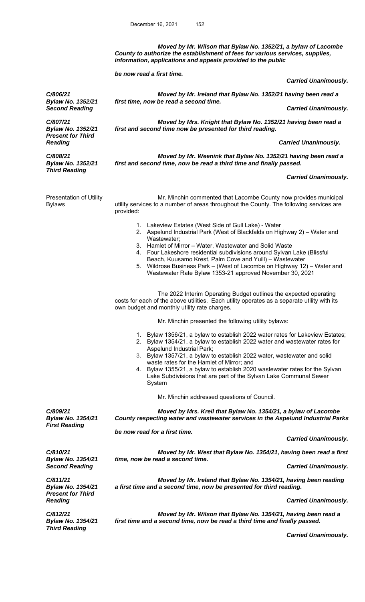*Moved by Mr. Wilson that Bylaw No. 1352/21, a bylaw of Lacombe County to authorize the establishment of fees for various services, supplies, information, applications and appeals provided to the public* 

 *be now read a first time.* 

 *Carried Unanimously.* 

 *Moved by Mr. Ireland that Bylaw No. 1352/21 having been read a first time, now be read a second time.* 

**Second Reading Carried Unanimously. Carried Unanimously. Carried Unanimously.** 

 *Moved by Mrs. Knight that Bylaw No. 1352/21 having been read a first and second time now be presented for third reading.* 

 *Carried Unanimously.* 

 *Moved by Mr. Weenink that Bylaw No. 1352/21 having been read a first and second time, now be read a third time and finally passed.* 

#### *Carried Unanimously.*

Presentation of Utility Bylaws Mr. Minchin commented that Lacombe County now provides municipal utility services to a number of areas throughout the County. The following services are provided: 1. Lakeview Estates (West Side of Gull Lake) - Water 2. Aspelund Industrial Park (West of Blackfalds on Highway 2) – Water and Wastewater; 3. Hamlet of Mirror – Water, Wastewater and Solid Waste 4. Four Lakeshore residential subdivisions around Sylvan Lake (Blissful Beach, Kuusamo Krest, Palm Cove and Yuill) – Wastewater 5. Wildrose Business Park – (West of Lacombe on Highway 12) – Water and Wastewater Rate Bylaw 1353-21 approved November 30, 2021 The 2022 Interim Operating Budget outlines the expected operating costs for each of the above utilities. Each utility operates as a separate utility with its own budget and monthly utility rate charges. Mr. Minchin presented the following utility bylaws: 1. Bylaw 1356/21, a bylaw to establish 2022 water rates for Lakeview Estates; 2. Bylaw 1354/21, a bylaw to establish 2022 water and wastewater rates for Aspelund Industrial Park; 3. Bylaw 1357/21, a bylaw to establish 2022 water, wastewater and solid waste rates for the Hamlet of Mirror; and 4. Bylaw 1355/21, a bylaw to establish 2020 wastewater rates for the Sylvan Lake Subdivisions that are part of the Sylvan Lake Communal Sewer System Mr. Minchin addressed questions of Council. *C/809/21 Bylaw No. 1354/21 Moved by Mrs. Kreil that Bylaw No. 1354/21, a bylaw of Lacombe County respecting water and wastewater services in the Aspelund Industrial Parks First Reading be now read for a first time. Carried Unanimously. C/810/21 Bylaw No. 1354/21 Moved by Mr. West that Bylaw No. 1354/21, having been read a first time, now be read a second time.*  **Second Reading Carried Unanimously. Second Reading**  $\blacksquare$ *C/811/21 Bylaw No. 1354/21 Present for Third Reading Moved by Mr. Ireland that Bylaw No. 1354/21, having been reading a first time and a second time, now be presented for third reading. Carried Unanimously. C/812/21 Bylaw No. 1354/21 Moved by Mr. Wilson that Bylaw No. 1354/21, having been read a first time and a second time, now be read a third time and finally passed. Third Reading* 

 *Carried Unanimously.* 

*Bylaw No. 1352/21 C/807/21* 

*Bylaw No. 1352/21 Present for Third Reading* 

*C/806/21* 

*C/808/21 Bylaw No. 1352/21 Third Reading*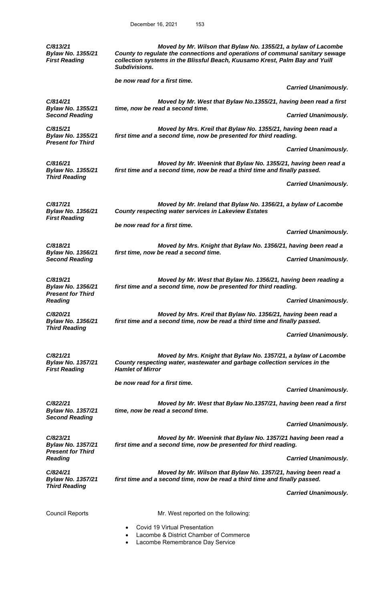*C/813/21 Bylaw No. 1355/21 First Reading* 

 *Moved by Mr. Wilson that Bylaw No. 1355/21, a bylaw of Lacombe County to regulate the connections and operations of communal sanitary sewage collection systems in the Blissful Beach, Kuusamo Krest, Palm Bay and Yuill Subdivisions.* 

 *be now read for a first time.* 

 *Carried Unanimously.* 

**Carried Unanimously.** 

 *Carried Unanimously.* 

 *Moved by Mr. West that Bylaw No.1355/21, having been read a first time, now be read a second time.* 

*C/814/21 Bylaw No. 1355/21* 

*C/815/21 Bylaw No. 1355/21 Present for Third* 

*Bylaw No. 1355/21* 

*Bylaw No. 1356/21* 

*First Reading* 

*Third Reading* 

*C/816/21* 

*C/817/21* 

 *Moved by Mrs. Kreil that Bylaw No. 1355/21, having been read a first time and a second time, now be presented for third reading.* 

 *Moved by Mr. Weenink that Bylaw No. 1355/21, having been read a first time and a second time, now be read a third time and finally passed.* 

 *Moved by Mrs. Knight that Bylaw No. 1356/21, having been read a* 

 *Moved by Mr. West that Bylaw No. 1356/21, having been reading a* 

 *Moved by Mrs. Kreil that Bylaw No. 1356/21, having been read a* 

 *Carried Unanimously.* 

 *Carried Unanimously.* 

**Carried Unanimously.** 

 *Moved by Mr. Ireland that Bylaw No. 1356/21, a bylaw of Lacombe County respecting water services in Lakeview Estates* 

 *be now read for a first time.* 

*first time, now be read a second time.* 

*C/818/21 Bylaw No. 1356/21* 

*C/819/21 Bylaw No. 1356/21 Present for Third*  **Reading Carried Unanimously. Reading Carried Unanimously. Carried Unanimously.** 

*C/820/21* 

*Bylaw No. 1356/21 Third Reading* 

*C/821/21* 

*C/822/21* 

*C/823/21* 

*Bylaw No. 1357/21 First Reading Moved by Mrs. Knight that Bylaw No. 1357/21, a bylaw of Lacombe County respecting water, wastewater and garbage collection services in the Hamlet of Mirror*

*first time and a second time, now be read a third time and finally passed.* 

*first time and a second time, now be presented for third reading.* 

 *be now read for a first time.* 

 *Carried Unanimously.* 

 *Carried Unanimously.* 

 *Moved by Mr. West that Bylaw No.1357/21, having been read a first time, now be read a second time.* 

 *Carried Unanimously.* 

 *Moved by Mr. Weenink that Bylaw No. 1357/21 having been read a first time and a second time, now be presented for third reading.* 

 *Carried Unanimously.* 

*Reading C/824/21 Bylaw No. 1357/21* 

*Third Reading* 

*Bylaw No. 1357/21* 

*Present for Third* 

*Bylaw No. 1357/21 Second Reading* 

> *Moved by Mr. Wilson that Bylaw No. 1357/21, having been read a first time and a second time, now be read a third time and finally passed.*

> > *Carried Unanimously.*

Council Reports **Mr.** West reported on the following: Covid 19 Virtual Presentation

- Lacombe & District Chamber of Commerce
- Lacombe Remembrance Day Service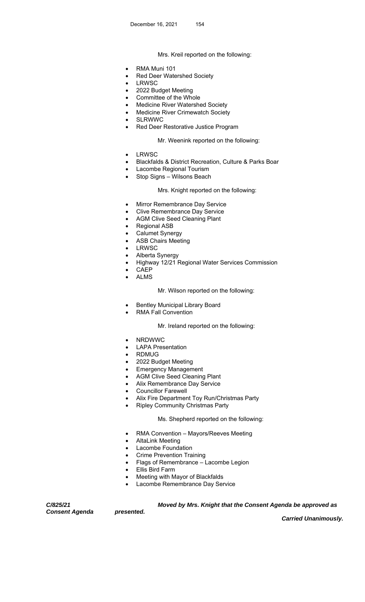# Mrs. Kreil reported on the following:

- RMA Muni 101
- Red Deer Watershed Society
- LRWSC
- 2022 Budget Meeting
- Committee of the Whole
- Medicine River Watershed Society
- Medicine River Crimewatch Society
- SLRWWC
- Red Deer Restorative Justice Program

# **Mr. Weenink reported on the following:**

- LRWSC
- Blackfalds & District Recreation, Culture & Parks Boar
- Lacombe Regional Tourism
- Stop Signs Wilsons Beach

# Mrs. Knight reported on the following:

- Mirror Remembrance Day Service
- Clive Remembrance Day Service
- AGM Clive Seed Cleaning Plant
- Regional ASB
- Calumet Synergy
- ASB Chairs Meeting
- LRWSC
- Alberta Synergy
- Highway 12/21 Regional Water Services Commission
- CAEP
- ALMS

# Mr. Wilson reported on the following:

- Bentley Municipal Library Board
- RMA Fall Convention

# Mr. Ireland reported on the following:

- NRDWWC
- LAPA Presentation
- RDMUG
- 2022 Budget Meeting
- Emergency Management
- AGM Clive Seed Cleaning Plant
- Alix Remembrance Day Service
- Councillor Farewell
- Alix Fire Department Toy Run/Christmas Party
- Ripley Community Christmas Party

## Ms. Shepherd reported on the following:

- RMA Convention Mayors/Reeves Meeting
- AltaLink Meeting
- Lacombe Foundation
- Crime Prevention Training
- Flags of Remembrance Lacombe Legion
- Ellis Bird Farm

*presented.* 

- Meeting with Mayor of Blackfalds
- Lacombe Remembrance Day Service

*C/825/21 Consent Agenda*   *Moved by Mrs. Knight that the Consent Agenda be approved as* 

 *Carried Unanimously.*